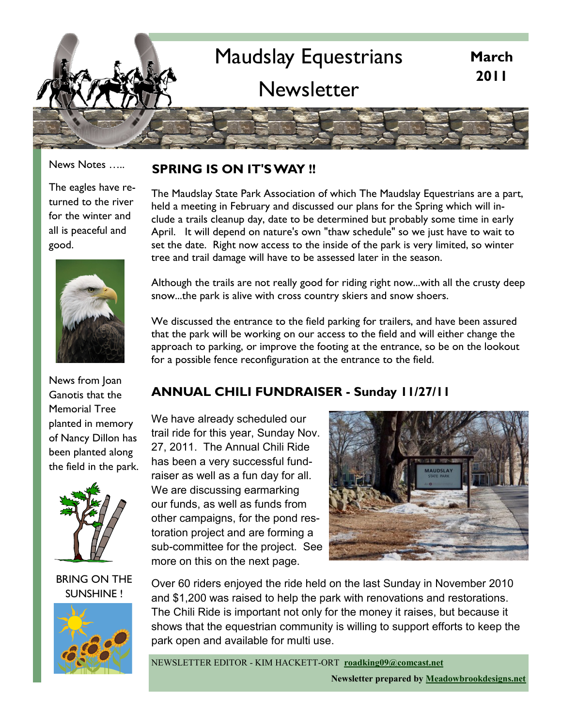

News Notes …..

The eagles have returned to the river for the winter and all is peaceful and good.



News from Joan Ganotis that the Memorial Tree planted in memory of Nancy Dillon has been planted along the field in the park.



#### BRING ON THE SUNSHINE !



#### **SPRING IS ON IT'S WAY !!**

The Maudslay State Park Association of which The Maudslay Equestrians are a part, held a meeting in February and discussed our plans for the Spring which will include a trails cleanup day, date to be determined but probably some time in early April. It will depend on nature's own "thaw schedule" so we just have to wait to set the date. Right now access to the inside of the park is very limited, so winter tree and trail damage will have to be assessed later in the season.

Although the trails are not really good for riding right now...with all the crusty deep snow...the park is alive with cross country skiers and snow shoers.

We discussed the entrance to the field parking for trailers, and have been assured that the park will be working on our access to the field and will either change the approach to parking, or improve the footing at the entrance, so be on the lookout for a possible fence reconfiguration at the entrance to the field.

#### **ANNUAL CHILI FUNDRAISER - Sunday 11/27/11**

We have already scheduled our trail ride for this year, Sunday Nov. 27, 2011. The Annual Chili Ride has been a very successful fundraiser as well as a fun day for all. We are discussing earmarking our funds, as well as funds from other campaigns, for the pond restoration project and are forming a sub-committee for the project. See more on this on the next page.



Over 60 riders enjoyed the ride held on the last Sunday in November 2010 and \$1,200 was raised to help the park with renovations and restorations. The Chili Ride is important not only for the money it raises, but because it shows that the equestrian community is willing to support efforts to keep the park open and available for multi use.

NEWSLETTER EDITOR - KIM HACKETT-ORT **[roadking09@comcast.net](mailto:roadking09@comcast.net?subject=Maudslay%20Equestrians)**

**Newsletter prepared by [Meadowbrookdesigns.net](http://www.meadowbrookdesigns.net)**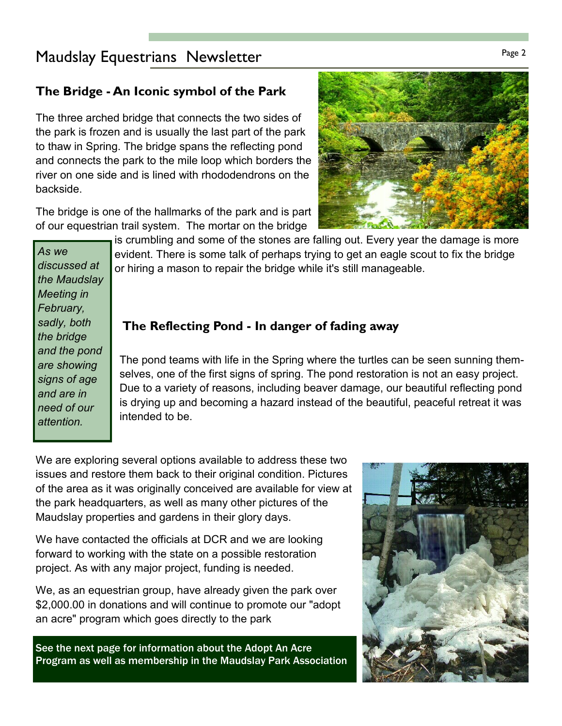### Page 2 Maudslay Equestrians Newsletter and the Case 2 Maudslay Page 2

#### **The Bridge - An Iconic symbol of the Park**

The three arched bridge that connects the two sides of the park is frozen and is usually the last part of the park to thaw in Spring. The bridge spans the reflecting pond and connects the park to the mile loop which borders the river on one side and is lined with rhododendrons on the backside.

The bridge is one of the hallmarks of the park and is part of our equestrian trail system. The mortar on the bridge



#### *As we discussed at the Maudslay Meeting in February, sadly, both the bridge and the pond are showing signs of age and are in need of our attention.*

#### **The Reflecting Pond - In danger of fading away**

The pond teams with life in the Spring where the turtles can be seen sunning themselves, one of the first signs of spring. The pond restoration is not an easy project. Due to a variety of reasons, including beaver damage, our beautiful reflecting pond is drying up and becoming a hazard instead of the beautiful, peaceful retreat it was intended to be.

We are exploring several options available to address these two issues and restore them back to their original condition. Pictures of the area as it was originally conceived are available for view at the park headquarters, as well as many other pictures of the Maudslay properties and gardens in their glory days.

We have contacted the officials at DCR and we are looking forward to working with the state on a possible restoration project. As with any major project, funding is needed.

We, as an equestrian group, have already given the park over \$2,000.00 in donations and will continue to promote our "adopt an acre" program which goes directly to the park

See the next page for information about the Adopt An Acre Program as well as membership in the Maudslay Park Association



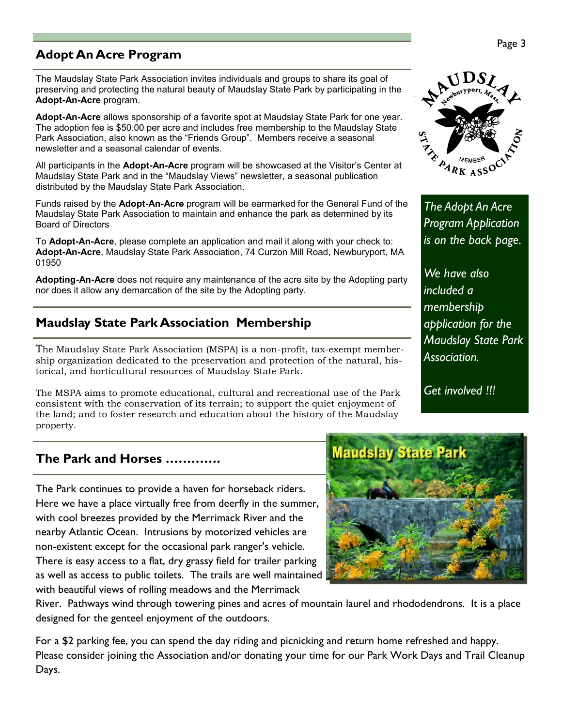#### **Adopt An Acre Program**

The Maudslay State Park Association invites individuals and groups to share its goal of preserving and protecting the natural beauty of Maudslay State Park by participating in the **Adopt-An-Acre** program.

**Adopt-An-Acre** allows sponsorship of a favorite spot at Maudslay State Park for one year. The adoption fee is \$50.00 per acre and includes free membership to the Maudslay State Park Association, also known as the "Friends Group". Members receive a seasonal newsletter and a seasonal calendar of events.

All participants in the **Adopt-An-Acre** program will be showcased at the Visitor's Center at Maudslay State Park and in the "Maudslay Views" newsletter, a seasonal publication distributed by the Maudslay State Park Association.

Funds raised by the **Adopt-An-Acre** program will be earmarked for the General Fund of the Maudslay State Park Association to maintain and enhance the park as determined by its Board of Directors

To **Adopt-An-Acre**, please complete an application and mail it along with your check to: **Adopt-An-Acre**, Maudslay State Park Association, 74 Curzon Mill Road, Newburyport, MA 01950

**Adopting-An-Acre** does not require any maintenance of the acre site by the Adopting party nor does it allow any demarcation of the site by the Adopting party.

#### **Maudslay State Park Association Membership**

The Maudslay State Park Association (MSPA) is a non-profit, tax-exempt membership organization dedicated to the preservation and protection of the natural, historical, and horticultural resources of Maudslay State Park.

The MSPA aims to promote educational, cultural and recreational use of the Park consistent with the conservation of its terrain; to support the quiet enjoyment of the land; and to foster research and education about the history of the Maudslay property.

#### **The Park and Horses ………….**

The Park continues to provide a haven for horseback riders. Here we have a place virtually free from deerfly in the summer, with cool breezes provided by the Merrimack River and the nearby Atlantic Ocean. Intrusions by motorized vehicles are non-existent except for the occasional park ranger's vehicle. There is easy access to a flat, dry grassy field for trailer parking as well as access to public toilets. The trails are well maintained with beautiful views of rolling meadows and the Merrimack

River. Pathways wind through towering pines and acres of mountain laurel and rhododendrons. It is a place designed for the genteel enjoyment of the outdoors.

For a \$2 parking fee, you can spend the day riding and picnicking and return home refreshed and happy. Please consider joining the Association and/or donating your time for our Park Work Days and Trail Cleanup Days.

# *Association.*  **Maudslay State Park**



*The Adopt An Acre Program Application is on the back page.*

*We have also included a membership application for the Maudslay State Park* 

*Get involved !!!*